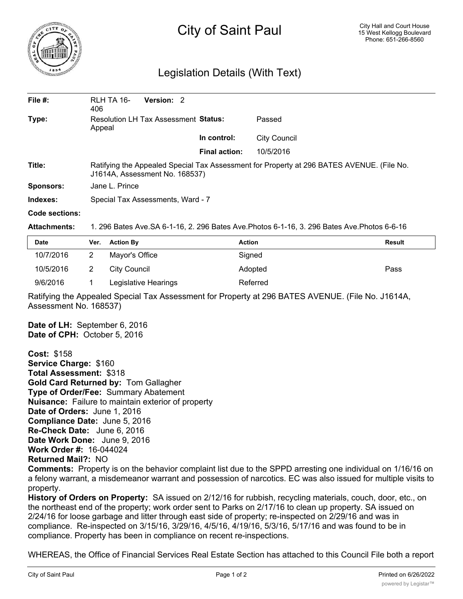

## City of Saint Paul

## Legislation Details (With Text)

| File $#$ : | RLH TA 16-<br>406                                                                                                           | Version: 2 |                      |                     |  |  |
|------------|-----------------------------------------------------------------------------------------------------------------------------|------------|----------------------|---------------------|--|--|
| Type:      | Resolution LH Tax Assessment Status:<br>Appeal                                                                              |            |                      | Passed              |  |  |
|            |                                                                                                                             |            | In control:          | <b>City Council</b> |  |  |
|            |                                                                                                                             |            | <b>Final action:</b> | 10/5/2016           |  |  |
| Title:     | Ratifying the Appealed Special Tax Assessment for Property at 296 BATES AVENUE. (File No.<br>J1614A, Assessment No. 168537) |            |                      |                     |  |  |
| Sponsors:  | Jane L. Prince                                                                                                              |            |                      |                     |  |  |
| Indexes:   | Special Tax Assessments, Ward - 7                                                                                           |            |                      |                     |  |  |
|            |                                                                                                                             |            |                      |                     |  |  |

## **Code sections:**

**Attachments:** 1. 296 Bates Ave.SA 6-1-16, 2. 296 Bates Ave.Photos 6-1-16, 3. 296 Bates Ave.Photos 6-6-16

| <b>Date</b> | Ver. | <b>Action By</b>     | <b>Action</b> | Result |
|-------------|------|----------------------|---------------|--------|
| 10/7/2016   |      | Mayor's Office       | Signed        |        |
| 10/5/2016   |      | City Council         | Adopted       | Pass   |
| 9/6/2016    |      | Legislative Hearings | Referred      |        |

Ratifying the Appealed Special Tax Assessment for Property at 296 BATES AVENUE. (File No. J1614A, Assessment No. 168537)

**Date of LH:** September 6, 2016 **Date of CPH:** October 5, 2016

**Cost:** \$158 **Service Charge:** \$160 **Total Assessment:** \$318 **Gold Card Returned by:** Tom Gallagher **Type of Order/Fee:** Summary Abatement **Nuisance:** Failure to maintain exterior of property **Date of Orders:** June 1, 2016 **Compliance Date:** June 5, 2016 **Re-Check Date:** June 6, 2016 **Date Work Done:** June 9, 2016 **Work Order #:** 16-044024 **Returned Mail?:** NO

**Comments:** Property is on the behavior complaint list due to the SPPD arresting one individual on 1/16/16 on a felony warrant, a misdemeanor warrant and possession of narcotics. EC was also issued for multiple visits to property.

**History of Orders on Property:** SA issued on 2/12/16 for rubbish, recycling materials, couch, door, etc., on the northeast end of the property; work order sent to Parks on 2/17/16 to clean up property. SA issued on 2/24/16 for loose garbage and litter through east side of property; re-inspected on 2/29/16 and was in compliance. Re-inspected on 3/15/16, 3/29/16, 4/5/16, 4/19/16, 5/3/16, 5/17/16 and was found to be in compliance. Property has been in compliance on recent re-inspections.

WHEREAS, the Office of Financial Services Real Estate Section has attached to this Council File both a report